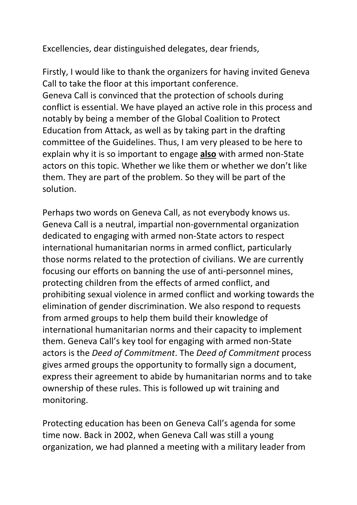Excellencies, dear distinguished delegates, dear friends,

Firstly, I would like to thank the organizers for having invited Geneva Call to take the floor at this important conference. Geneva Call is convinced that the protection of schools during conflict is essential. We have played an active role in this process and notably by being a member of the Global Coalition to Protect Education from Attack, as well as by taking part in the drafting committee of the Guidelines. Thus, I am very pleased to be here to explain why it is so important to engage **also** with armed non-State actors on this topic. Whether we like them or whether we don't like them. They are part of the problem. So they will be part of the solution.

Perhaps two words on Geneva Call, as not everybody knows us. Geneva Call is a neutral, impartial non-governmental organization dedicated to engaging with armed non-State actors to respect international humanitarian norms in armed conflict, particularly those norms related to the protection of civilians. We are currently focusing our efforts on banning the use of anti-personnel mines, protecting children from the effects of armed conflict, and prohibiting sexual violence in armed conflict and working towards the elimination of gender discrimination. We also respond to requests from armed groups to help them build their knowledge of international humanitarian norms and their capacity to implement them. Geneva Call's key tool for engaging with armed non-State actors is the *Deed of Commitment*. The *Deed of Commitment* process gives armed groups the opportunity to formally sign a document, express their agreement to abide by humanitarian norms and to take ownership of these rules. This is followed up wit training and monitoring.

Protecting education has been on Geneva Call's agenda for some time now. Back in 2002, when Geneva Call was still a young organization, we had planned a meeting with a military leader from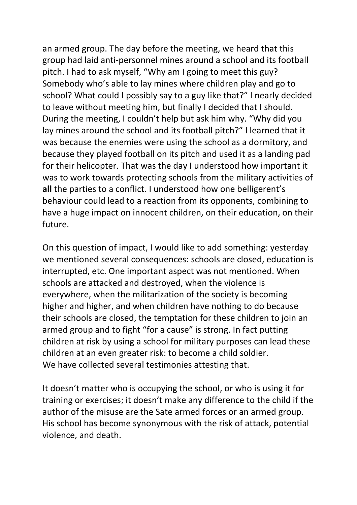an armed group. The day before the meeting, we heard that this group had laid anti-personnel mines around a school and its football pitch. I had to ask myself, "Why am I going to meet this guy? Somebody who's able to lay mines where children play and go to school? What could I possibly say to a guy like that?" I nearly decided to leave without meeting him, but finally I decided that I should. During the meeting, I couldn't help but ask him why. "Why did you lay mines around the school and its football pitch?" I learned that it was because the enemies were using the school as a dormitory, and because they played football on its pitch and used it as a landing pad for their helicopter. That was the day I understood how important it was to work towards protecting schools from the military activities of **all** the parties to a conflict. I understood how one belligerent's behaviour could lead to a reaction from its opponents, combining to have a huge impact on innocent children, on their education, on their future.

On this question of impact, I would like to add something: yesterday we mentioned several consequences: schools are closed, education is interrupted, etc. One important aspect was not mentioned. When schools are attacked and destroyed, when the violence is everywhere, when the militarization of the society is becoming higher and higher, and when children have nothing to do because their schools are closed, the temptation for these children to join an armed group and to fight "for a cause" is strong. In fact putting children at risk by using a school for military purposes can lead these children at an even greater risk: to become a child soldier. We have collected several testimonies attesting that.

It doesn't matter who is occupying the school, or who is using it for training or exercises; it doesn't make any difference to the child if the author of the misuse are the Sate armed forces or an armed group. His school has become synonymous with the risk of attack, potential violence, and death.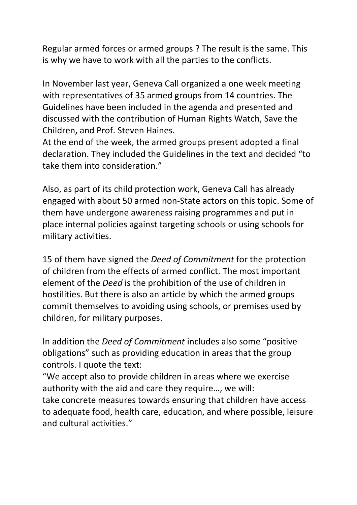Regular armed forces or armed groups ? The result is the same. This is why we have to work with all the parties to the conflicts.

In November last year, Geneva Call organized a one week meeting with representatives of 35 armed groups from 14 countries. The Guidelines have been included in the agenda and presented and discussed with the contribution of Human Rights Watch, Save the Children, and Prof. Steven Haines.

At the end of the week, the armed groups present adopted a final declaration. They included the Guidelines in the text and decided "to take them into consideration."

Also, as part of its child protection work, Geneva Call has already engaged with about 50 armed non-State actors on this topic. Some of them have undergone awareness raising programmes and put in place internal policies against targeting schools or using schools for military activities.

15 of them have signed the *Deed of Commitment* for the protection of children from the effects of armed conflict. The most important element of the *Deed* is the prohibition of the use of children in hostilities. But there is also an article by which the armed groups commit themselves to avoiding using schools, or premises used by children, for military purposes.

In addition the *Deed of Commitment* includes also some "positive obligations" such as providing education in areas that the group controls. I quote the text:

"We accept also to provide children in areas where we exercise authority with the aid and care they require…, we will:

take concrete measures towards ensuring that children have access to adequate food, health care, education, and where possible, leisure and cultural activities."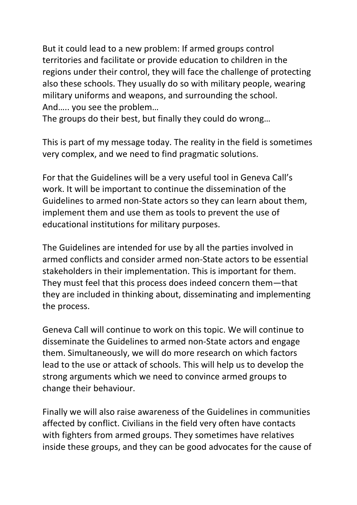But it could lead to a new problem: If armed groups control territories and facilitate or provide education to children in the regions under their control, they will face the challenge of protecting also these schools. They usually do so with military people, wearing military uniforms and weapons, and surrounding the school. And….. you see the problem…

The groups do their best, but finally they could do wrong…

This is part of my message today. The reality in the field is sometimes very complex, and we need to find pragmatic solutions.

For that the Guidelines will be a very useful tool in Geneva Call's work. It will be important to continue the dissemination of the Guidelines to armed non-State actors so they can learn about them, implement them and use them as tools to prevent the use of educational institutions for military purposes.

The Guidelines are intended for use by all the parties involved in armed conflicts and consider armed non-State actors to be essential stakeholders in their implementation. This is important for them. They must feel that this process does indeed concern them—that they are included in thinking about, disseminating and implementing the process.

Geneva Call will continue to work on this topic. We will continue to disseminate the Guidelines to armed non-State actors and engage them. Simultaneously, we will do more research on which factors lead to the use or attack of schools. This will help us to develop the strong arguments which we need to convince armed groups to change their behaviour.

Finally we will also raise awareness of the Guidelines in communities affected by conflict. Civilians in the field very often have contacts with fighters from armed groups. They sometimes have relatives inside these groups, and they can be good advocates for the cause of